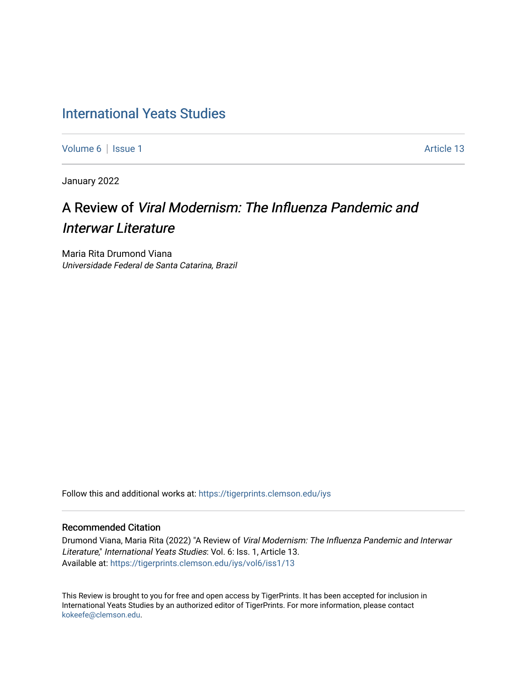## [International Yeats Studies](https://tigerprints.clemson.edu/iys)

[Volume 6](https://tigerprints.clemson.edu/iys/vol6) | [Issue 1](https://tigerprints.clemson.edu/iys/vol6/iss1) Article 13

January 2022

# A Review of Viral Modernism: The Influenza Pandemic and Interwar Literature

Maria Rita Drumond Viana Universidade Federal de Santa Catarina, Brazil

Follow this and additional works at: [https://tigerprints.clemson.edu/iys](https://tigerprints.clemson.edu/iys?utm_source=tigerprints.clemson.edu%2Fiys%2Fvol6%2Fiss1%2F13&utm_medium=PDF&utm_campaign=PDFCoverPages) 

### Recommended Citation

Drumond Viana, Maria Rita (2022) "A Review of Viral Modernism: The Influenza Pandemic and Interwar Literature," International Yeats Studies: Vol. 6: Iss. 1, Article 13. Available at: [https://tigerprints.clemson.edu/iys/vol6/iss1/13](https://tigerprints.clemson.edu/iys/vol6/iss1/13?utm_source=tigerprints.clemson.edu%2Fiys%2Fvol6%2Fiss1%2F13&utm_medium=PDF&utm_campaign=PDFCoverPages) 

This Review is brought to you for free and open access by TigerPrints. It has been accepted for inclusion in International Yeats Studies by an authorized editor of TigerPrints. For more information, please contact [kokeefe@clemson.edu](mailto:kokeefe@clemson.edu).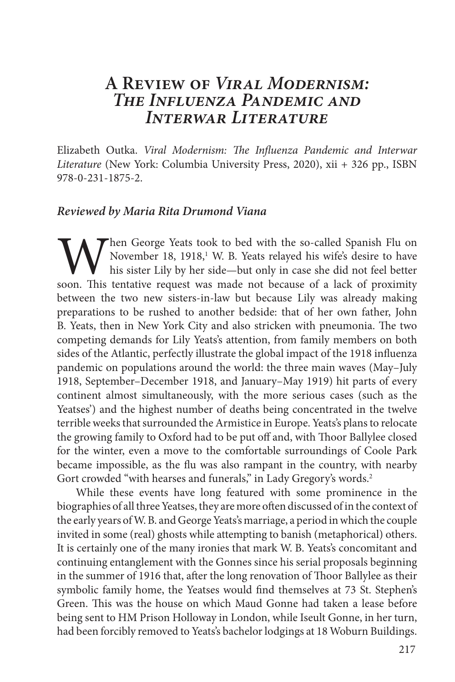### **A Review of** *Viral Modernism: The Influenza Pandemic and Interwar Literature*

Elizabeth Outka. *Viral Modernism: The Influenza Pandemic and Interwar Literature* (New York: Columbia University Press, 2020), xii + 326 pp., ISBN 978-0-231-1875-2.

### *Reviewed by Maria Rita Drumond Viana*

Then George Yeats took to bed with the so-called Spanish Flu on November 18, 1918,<sup>1</sup> W. B. Yeats relayed his wife's desire to have his sister Lily by her side—but only in case she did not feel better soon. This tentative request was made not because of a lack of proximity between the two new sisters-in-law but because Lily was already making preparations to be rushed to another bedside: that of her own father, John B. Yeats, then in New York City and also stricken with pneumonia. The two competing demands for Lily Yeats's attention, from family members on both sides of the Atlantic, perfectly illustrate the global impact of the 1918 influenza pandemic on populations around the world: the three main waves (May–July 1918, September–December 1918, and January–May 1919) hit parts of every continent almost simultaneously, with the more serious cases (such as the Yeatses') and the highest number of deaths being concentrated in the twelve terrible weeks that surrounded the Armistice in Europe. Yeats's plans to relocate the growing family to Oxford had to be put off and, with Thoor Ballylee closed for the winter, even a move to the comfortable surroundings of Coole Park became impossible, as the flu was also rampant in the country, with nearby Gort crowded "with hearses and funerals," in Lady Gregory's words.<sup>2</sup>

While these events have long featured with some prominence in the biographies of all three Yeatses, they are more often discussed of in the context of the early years of W. B. and George Yeats's marriage, a period in which the couple invited in some (real) ghosts while attempting to banish (metaphorical) others. It is certainly one of the many ironies that mark W. B. Yeats's concomitant and continuing entanglement with the Gonnes since his serial proposals beginning in the summer of 1916 that, after the long renovation of Thoor Ballylee as their symbolic family home, the Yeatses would find themselves at 73 St. Stephen's Green. This was the house on which Maud Gonne had taken a lease before being sent to HM Prison Holloway in London, while Iseult Gonne, in her turn, had been forcibly removed to Yeats's bachelor lodgings at 18 Woburn Buildings.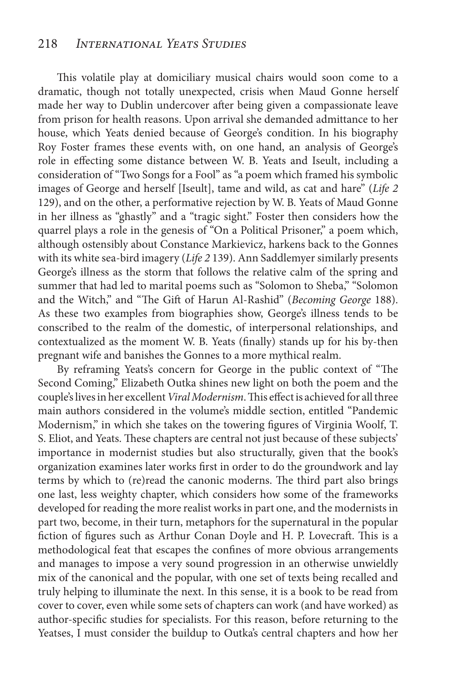This volatile play at domiciliary musical chairs would soon come to a dramatic, though not totally unexpected, crisis when Maud Gonne herself made her way to Dublin undercover after being given a compassionate leave from prison for health reasons. Upon arrival she demanded admittance to her house, which Yeats denied because of George's condition. In his biography Roy Foster frames these events with, on one hand, an analysis of George's role in effecting some distance between W. B. Yeats and Iseult, including a consideration of "Two Songs for a Fool" as "a poem which framed his symbolic images of George and herself [Iseult], tame and wild, as cat and hare" (*Life 2*  129), and on the other, a performative rejection by W. B. Yeats of Maud Gonne in her illness as "ghastly" and a "tragic sight." Foster then considers how the quarrel plays a role in the genesis of "On a Political Prisoner," a poem which, although ostensibly about Constance Markievicz, harkens back to the Gonnes with its white sea-bird imagery (*Life 2* 139). Ann Saddlemyer similarly presents George's illness as the storm that follows the relative calm of the spring and summer that had led to marital poems such as "Solomon to Sheba," "Solomon and the Witch," and "The Gift of Harun Al-Rashid" (*Becoming George* 188). As these two examples from biographies show, George's illness tends to be conscribed to the realm of the domestic, of interpersonal relationships, and contextualized as the moment W. B. Yeats (finally) stands up for his by-then pregnant wife and banishes the Gonnes to a more mythical realm.

By reframing Yeats's concern for George in the public context of "The Second Coming," Elizabeth Outka shines new light on both the poem and the couple's lives in her excellent *Viral Modernism*. This effect is achieved for all three main authors considered in the volume's middle section, entitled "Pandemic Modernism," in which she takes on the towering figures of Virginia Woolf, T. S. Eliot, and Yeats. These chapters are central not just because of these subjects' importance in modernist studies but also structurally, given that the book's organization examines later works first in order to do the groundwork and lay terms by which to (re)read the canonic moderns. The third part also brings one last, less weighty chapter, which considers how some of the frameworks developed for reading the more realist works in part one, and the modernists in part two, become, in their turn, metaphors for the supernatural in the popular fiction of figures such as Arthur Conan Doyle and H. P. Lovecraft. This is a methodological feat that escapes the confines of more obvious arrangements and manages to impose a very sound progression in an otherwise unwieldly mix of the canonical and the popular, with one set of texts being recalled and truly helping to illuminate the next. In this sense, it is a book to be read from cover to cover, even while some sets of chapters can work (and have worked) as author-specific studies for specialists. For this reason, before returning to the Yeatses, I must consider the buildup to Outka's central chapters and how her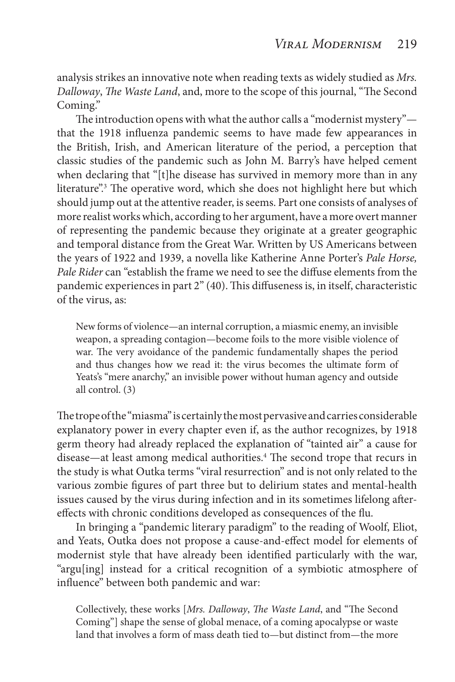analysis strikes an innovative note when reading texts as widely studied as *Mrs. Dalloway*, *The Waste Land*, and, more to the scope of this journal, "The Second Coming."

The introduction opens with what the author calls a "modernist mystery" that the 1918 influenza pandemic seems to have made few appearances in the British, Irish, and American literature of the period, a perception that classic studies of the pandemic such as John M. Barry's have helped cement when declaring that "[t]he disease has survived in memory more than in any literature".<sup>3</sup> The operative word, which she does not highlight here but which should jump out at the attentive reader, is seems. Part one consists of analyses of more realist works which, according to her argument, have a more overt manner of representing the pandemic because they originate at a greater geographic and temporal distance from the Great War. Written by US Americans between the years of 1922 and 1939, a novella like Katherine Anne Porter's *Pale Horse, Pale Rider* can "establish the frame we need to see the diffuse elements from the pandemic experiences in part 2" (40). This diffuseness is, in itself, characteristic of the virus, as:

New forms of violence—an internal corruption, a miasmic enemy, an invisible weapon, a spreading contagion—become foils to the more visible violence of war. The very avoidance of the pandemic fundamentally shapes the period and thus changes how we read it: the virus becomes the ultimate form of Yeats's "mere anarchy," an invisible power without human agency and outside all control. (3)

The trope of the "miasma" is certainly the most pervasive and carries considerable explanatory power in every chapter even if, as the author recognizes, by 1918 germ theory had already replaced the explanation of "tainted air" a cause for disease—at least among medical authorities.<sup>4</sup> The second trope that recurs in the study is what Outka terms "viral resurrection" and is not only related to the various zombie figures of part three but to delirium states and mental-health issues caused by the virus during infection and in its sometimes lifelong aftereffects with chronic conditions developed as consequences of the flu.

In bringing a "pandemic literary paradigm" to the reading of Woolf, Eliot, and Yeats, Outka does not propose a cause-and-effect model for elements of modernist style that have already been identified particularly with the war, "argu[ing] instead for a critical recognition of a symbiotic atmosphere of influence" between both pandemic and war:

Collectively, these works [*Mrs. Dalloway*, *The Waste Land*, and "The Second Coming"] shape the sense of global menace, of a coming apocalypse or waste land that involves a form of mass death tied to—but distinct from—the more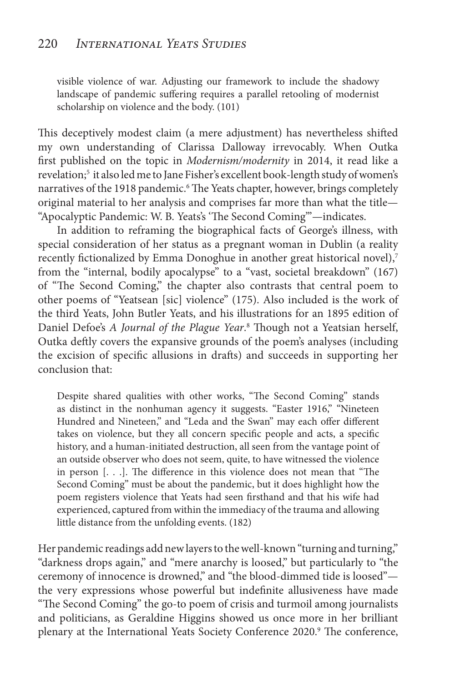visible violence of war. Adjusting our framework to include the shadowy landscape of pandemic suffering requires a parallel retooling of modernist scholarship on violence and the body. (101)

This deceptively modest claim (a mere adjustment) has nevertheless shifted my own understanding of Clarissa Dalloway irrevocably. When Outka first published on the topic in *Modernism/modernity* in 2014, it read like a revelation;<sup>5</sup> it also led me to Jane Fisher's excellent book-length study of women's narratives of the 1918 pandemic.<sup>6</sup> The Yeats chapter, however, brings completely original material to her analysis and comprises far more than what the title— "Apocalyptic Pandemic: W. B. Yeats's 'The Second Coming'"—indicates.

In addition to reframing the biographical facts of George's illness, with special consideration of her status as a pregnant woman in Dublin (a reality recently fictionalized by Emma Donoghue in another great historical novel),<sup>7</sup> from the "internal, bodily apocalypse" to a "vast, societal breakdown" (167) of "The Second Coming," the chapter also contrasts that central poem to other poems of "Yeatsean [sic] violence" (175). Also included is the work of the third Yeats, John Butler Yeats, and his illustrations for an 1895 edition of Daniel Defoe's *A Journal of the Plague Year*. 8 Though not a Yeatsian herself, Outka deftly covers the expansive grounds of the poem's analyses (including the excision of specific allusions in drafts) and succeeds in supporting her conclusion that:

Despite shared qualities with other works, "The Second Coming" stands as distinct in the nonhuman agency it suggests. "Easter 1916," "Nineteen Hundred and Nineteen," and "Leda and the Swan" may each offer different takes on violence, but they all concern specific people and acts, a specific history, and a human-initiated destruction, all seen from the vantage point of an outside observer who does not seem, quite, to have witnessed the violence in person [. . .]. The difference in this violence does not mean that "The Second Coming" must be about the pandemic, but it does highlight how the poem registers violence that Yeats had seen firsthand and that his wife had experienced, captured from within the immediacy of the trauma and allowing little distance from the unfolding events. (182)

Her pandemic readings add new layers to the well-known "turning and turning," "darkness drops again," and "mere anarchy is loosed," but particularly to "the ceremony of innocence is drowned," and "the blood-dimmed tide is loosed" the very expressions whose powerful but indefinite allusiveness have made "The Second Coming" the go-to poem of crisis and turmoil among journalists and politicians, as Geraldine Higgins showed us once more in her brilliant plenary at the International Yeats Society Conference 2020.<sup>9</sup> The conference,